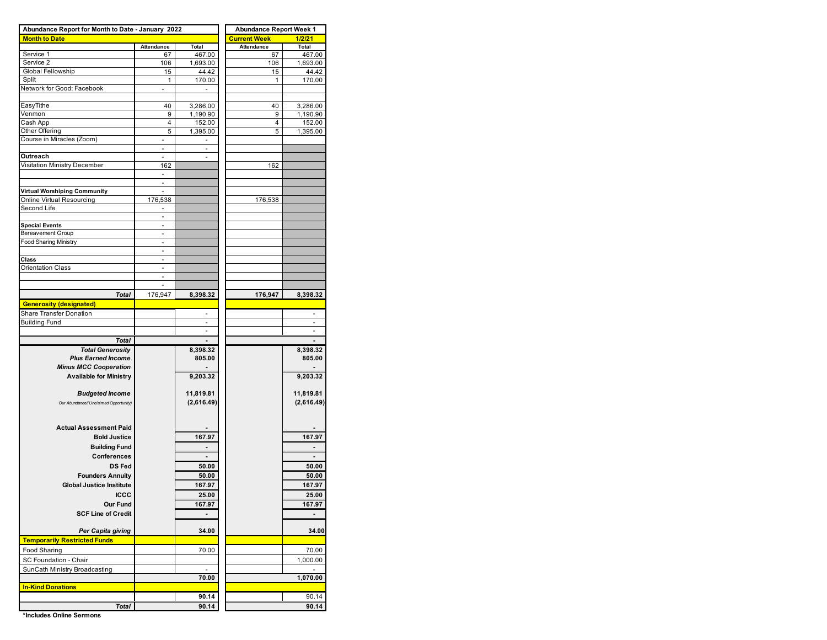| Abundance Report for Month to Date - January 2022         | <b>Abundance Report Week 1</b> |                |                     |                |  |  |  |  |
|-----------------------------------------------------------|--------------------------------|----------------|---------------------|----------------|--|--|--|--|
| <b>Month to Date</b>                                      |                                |                | <b>Current Week</b> | 1/2/21         |  |  |  |  |
|                                                           | Attendance                     | Total          | Attendance          | Total          |  |  |  |  |
| Service 1                                                 | 67                             | 467.00         | 67                  | 467.00         |  |  |  |  |
| Service 2                                                 | 106                            | 1,693.00       | 106                 | 1,693.00       |  |  |  |  |
| Global Fellowship                                         | 15                             | 44.42          | 15                  | 44.42          |  |  |  |  |
| Split<br>Network for Good: Facebook                       | 1                              | 170.00         | 1                   | 170.00         |  |  |  |  |
|                                                           | $\overline{\phantom{0}}$       | $\frac{1}{2}$  |                     |                |  |  |  |  |
| EasyTithe                                                 | 40                             | 3,286.00       | 40                  | 3,286.00       |  |  |  |  |
| Venmon                                                    | 9                              | 1,190.90       | 9                   | 1,190.90       |  |  |  |  |
| Cash App                                                  | $\overline{4}$                 | 152.00         | 4                   | 152.00         |  |  |  |  |
| Other Offering                                            | 5                              | 1,395.00       | 5                   | 1,395.00       |  |  |  |  |
| Course in Miracles (Zoom)                                 |                                |                |                     |                |  |  |  |  |
|                                                           | ٠                              | ÷.             |                     |                |  |  |  |  |
| Outreach                                                  |                                |                |                     |                |  |  |  |  |
| Visitation Ministry December                              | 162                            |                | 162                 |                |  |  |  |  |
|                                                           | ٠                              |                |                     |                |  |  |  |  |
|                                                           | $\sim$                         |                |                     |                |  |  |  |  |
| Virtual Worshiping Community                              |                                |                |                     |                |  |  |  |  |
| Online Virtual Resourcing<br>Second Life                  | 176,538<br>٠                   |                | 176,538             |                |  |  |  |  |
|                                                           |                                |                |                     |                |  |  |  |  |
| <b>Special Events</b>                                     |                                |                |                     |                |  |  |  |  |
| Bereavement Group                                         |                                |                |                     |                |  |  |  |  |
| <b>Food Sharing Ministry</b>                              | $\overline{\phantom{a}}$       |                |                     |                |  |  |  |  |
|                                                           |                                |                |                     |                |  |  |  |  |
| Class                                                     | ÷.                             |                |                     |                |  |  |  |  |
| <b>Orientation Class</b>                                  |                                |                |                     |                |  |  |  |  |
|                                                           | $\overline{\phantom{a}}$       |                |                     |                |  |  |  |  |
|                                                           |                                |                |                     |                |  |  |  |  |
| <b>Total</b>                                              | 176,947                        | 8,398.32       | 176,947             | 8,398.32       |  |  |  |  |
| <b>Generosity (designated)</b>                            |                                |                |                     |                |  |  |  |  |
| Share Transfer Donation                                   |                                |                |                     |                |  |  |  |  |
| <b>Building Fund</b>                                      |                                | ÷.             |                     | ÷.             |  |  |  |  |
|                                                           |                                |                |                     |                |  |  |  |  |
| Total                                                     |                                | $\overline{a}$ |                     | $\overline{a}$ |  |  |  |  |
| <b>Total Generosity</b>                                   |                                | 8,398.32       |                     | 8,398.32       |  |  |  |  |
| <b>Plus Earned Income</b><br><b>Minus MCC Cooperation</b> |                                | 805.00         |                     | 805.00         |  |  |  |  |
|                                                           |                                |                |                     |                |  |  |  |  |
| <b>Available for Ministry</b>                             |                                | 9,203.32       |                     | 9,203.32       |  |  |  |  |
| <b>Budgeted Income</b>                                    |                                | 11,819.81      |                     | 11,819.81      |  |  |  |  |
| Our Abundance/(Unclaimed Opportunity)                     |                                | (2,616.49)     |                     | (2,616.49)     |  |  |  |  |
|                                                           |                                |                |                     |                |  |  |  |  |
|                                                           |                                |                |                     |                |  |  |  |  |
| <b>Actual Assessment Paid</b>                             |                                |                |                     |                |  |  |  |  |
| <b>Bold Justice</b>                                       |                                | 167.97         |                     | 167.97         |  |  |  |  |
| <b>Building Fund</b>                                      |                                |                |                     |                |  |  |  |  |
| <b>Conferences</b>                                        |                                |                |                     |                |  |  |  |  |
| <b>DS Fed</b>                                             |                                | 50.00          |                     | 50.00          |  |  |  |  |
| <b>Founders Annuity</b>                                   |                                | 50.00          |                     | 50.00          |  |  |  |  |
| <b>Global Justice Institute</b>                           |                                | 167.97         |                     | 167.97         |  |  |  |  |
| <b>ICCC</b>                                               |                                | 25.00          |                     | 25.00          |  |  |  |  |
| <b>Our Fund</b>                                           |                                | 167.97         |                     | 167.97         |  |  |  |  |
|                                                           |                                |                |                     |                |  |  |  |  |
| <b>SCF Line of Credit</b>                                 |                                |                |                     |                |  |  |  |  |
| Per Capita giving                                         |                                | 34.00          |                     | 34.00          |  |  |  |  |
| <b>Temporarily Restricted Funds</b>                       |                                |                |                     |                |  |  |  |  |
| Food Sharing                                              |                                | 70.00          |                     | 70.00          |  |  |  |  |
|                                                           |                                |                |                     |                |  |  |  |  |
| SC Foundation - Chair                                     |                                |                |                     | 1,000.00       |  |  |  |  |
| SunCath Ministry Broadcasting                             |                                | 70.00          |                     |                |  |  |  |  |
| <b>In-Kind Donations</b>                                  |                                |                |                     | 1,070.00       |  |  |  |  |
|                                                           |                                |                |                     |                |  |  |  |  |
|                                                           |                                | 90.14          |                     | 90.14<br>90.14 |  |  |  |  |
| <b>Total</b>                                              |                                | 90.14          |                     |                |  |  |  |  |

**\*Includes Online Sermons**